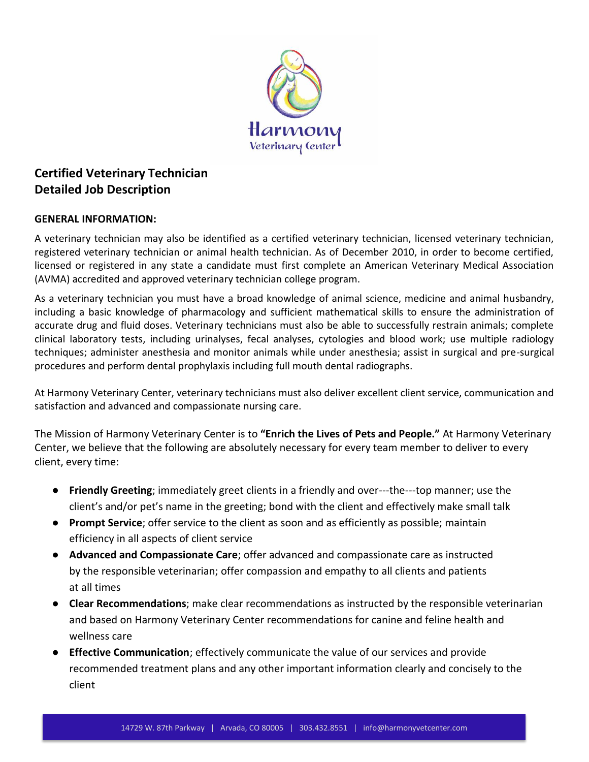

# **Certified Veterinary Technician Detailed Job Description**

### **GENERAL INFORMATION:**

A veterinary technician may also be identified as a certified veterinary technician, licensed veterinary technician, registered veterinary technician or animal health technician. As of December 2010, in order to become certified, licensed or registered in any state a candidate must first complete an American Veterinary Medical Association (AVMA) accredited and approved veterinary technician college program.

As a veterinary technician you must have a broad knowledge of animal science, medicine and animal husbandry, including a basic knowledge of pharmacology and sufficient mathematical skills to ensure the administration of accurate drug and fluid doses. Veterinary technicians must also be able to successfully restrain animals; complete clinical laboratory tests, including urinalyses, fecal analyses, cytologies and blood work; use multiple radiology techniques; administer anesthesia and monitor animals while under anesthesia; assist in surgical and pre-surgical procedures and perform dental prophylaxis including full mouth dental radiographs.

At Harmony Veterinary Center, veterinary technicians must also deliver excellent client service, communication and satisfaction and advanced and compassionate nursing care.

The Mission of Harmony Veterinary Center is to **"Enrich the Lives of Pets and People."** At Harmony Veterinary Center, we believe that the following are absolutely necessary for every team member to deliver to every client, every time:

- **Friendly Greeting**; immediately greet clients in a friendly and over---the---top manner; use the client's and/or pet's name in the greeting; bond with the client and effectively make small talk
- **Prompt Service**; offer service to the client as soon and as efficiently as possible; maintain efficiency in all aspects of client service
- **Advanced and Compassionate Care**; offer advanced and compassionate care as instructed by the responsible veterinarian; offer compassion and empathy to all clients and patients at all times
- **Clear Recommendations**; make clear recommendations as instructed by the responsible veterinarian and based on Harmony Veterinary Center recommendations for canine and feline health and wellness care
- **Effective Communication**; effectively communicate the value of our services and provide recommended treatment plans and any other important information clearly and concisely to the client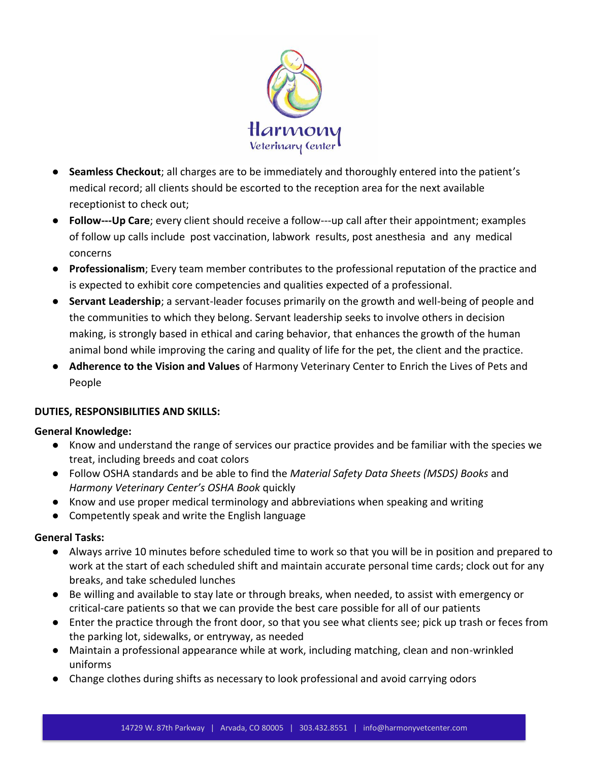

- **Seamless Checkout**; all charges are to be immediately and thoroughly entered into the patient's medical record; all clients should be escorted to the reception area for the next available receptionist to check out;
- **Follow---Up Care**; every client should receive a follow---up call after their appointment; examples of follow up calls include post vaccination, labwork results, post anesthesia and any medical concerns
- **Professionalism**; Every team member contributes to the professional reputation of the practice and is expected to exhibit core competencies and qualities expected of a professional.
- **Servant Leadership**; a servant-leader focuses primarily on the growth and well-being of people and the communities to which they belong. Servant leadership seeks to involve others in decision making, is strongly based in ethical and caring behavior, that enhances the growth of the human animal bond while improving the caring and quality of life for the pet, the client and the practice.
- **Adherence to the Vision and Values** of Harmony Veterinary Center to Enrich the Lives of Pets and People

### **DUTIES, RESPONSIBILITIES AND SKILLS:**

### **General Knowledge:**

- Know and understand the range of services our practice provides and be familiar with the species we treat, including breeds and coat colors
- Follow OSHA standards and be able to find the *Material Safety Data Sheets (MSDS) Books* and *Harmony Veterinary Center's OSHA Book* quickly
- Know and use proper medical terminology and abbreviations when speaking and writing
- Competently speak and write the English language

# **General Tasks:**

- Always arrive 10 minutes before scheduled time to work so that you will be in position and prepared to work at the start of each scheduled shift and maintain accurate personal time cards; clock out for any breaks, and take scheduled lunches
- Be willing and available to stay late or through breaks, when needed, to assist with emergency or critical-care patients so that we can provide the best care possible for all of our patients
- Enter the practice through the front door, so that you see what clients see; pick up trash or feces from the parking lot, sidewalks, or entryway, as needed
- Maintain a professional appearance while at work, including matching, clean and non-wrinkled uniforms
- Change clothes during shifts as necessary to look professional and avoid carrying odors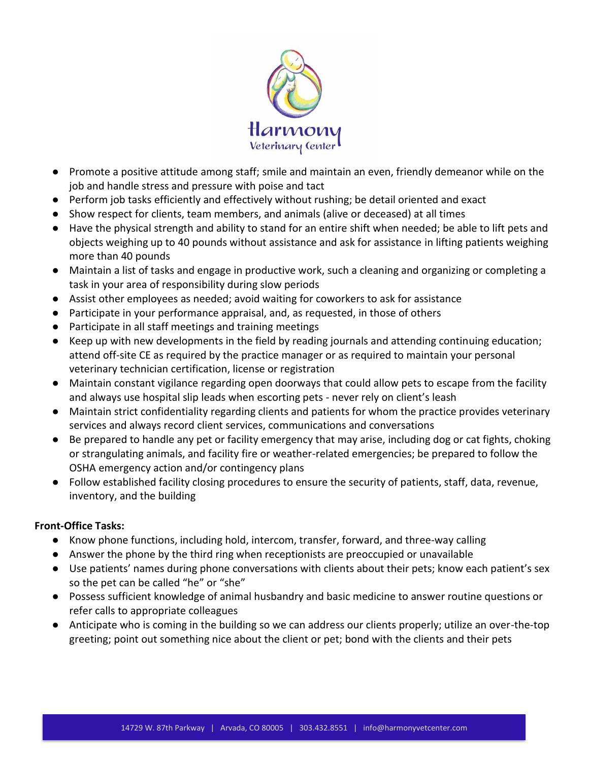

- Promote a positive attitude among staff; smile and maintain an even, friendly demeanor while on the job and handle stress and pressure with poise and tact
- Perform job tasks efficiently and effectively without rushing; be detail oriented and exact
- Show respect for clients, team members, and animals (alive or deceased) at all times
- Have the physical strength and ability to stand for an entire shift when needed; be able to lift pets and objects weighing up to 40 pounds without assistance and ask for assistance in lifting patients weighing more than 40 pounds
- Maintain a list of tasks and engage in productive work, such a cleaning and organizing or completing a task in your area of responsibility during slow periods
- Assist other employees as needed; avoid waiting for coworkers to ask for assistance
- Participate in your performance appraisal, and, as requested, in those of others
- Participate in all staff meetings and training meetings
- Keep up with new developments in the field by reading journals and attending continuing education; attend off-site CE as required by the practice manager or as required to maintain your personal veterinary technician certification, license or registration
- Maintain constant vigilance regarding open doorways that could allow pets to escape from the facility and always use hospital slip leads when escorting pets - never rely on client's leash
- Maintain strict confidentiality regarding clients and patients for whom the practice provides veterinary services and always record client services, communications and conversations
- Be prepared to handle any pet or facility emergency that may arise, including dog or cat fights, choking or strangulating animals, and facility fire or weather-related emergencies; be prepared to follow the OSHA emergency action and/or contingency plans
- Follow established facility closing procedures to ensure the security of patients, staff, data, revenue, inventory, and the building

### **Front-Office Tasks:**

- Know phone functions, including hold, intercom, transfer, forward, and three-way calling
- Answer the phone by the third ring when receptionists are preoccupied or unavailable
- Use patients' names during phone conversations with clients about their pets; know each patient's sex so the pet can be called "he" or "she"
- Possess sufficient knowledge of animal husbandry and basic medicine to answer routine questions or refer calls to appropriate colleagues
- Anticipate who is coming in the building so we can address our clients properly; utilize an over-the-top greeting; point out something nice about the client or pet; bond with the clients and their pets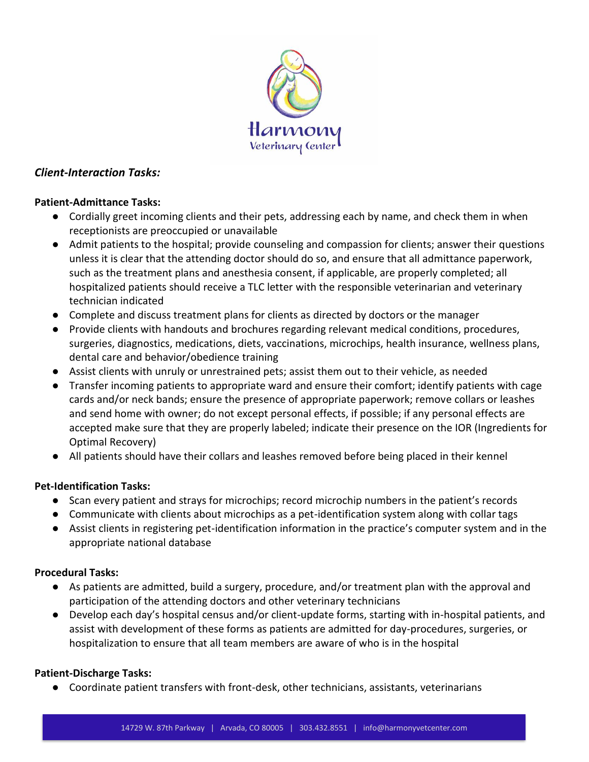

### *Client-Interaction Tasks:*

### **Patient-Admittance Tasks:**

- Cordially greet incoming clients and their pets, addressing each by name, and check them in when receptionists are preoccupied or unavailable
- Admit patients to the hospital; provide counseling and compassion for clients; answer their questions unless it is clear that the attending doctor should do so, and ensure that all admittance paperwork, such as the treatment plans and anesthesia consent, if applicable, are properly completed; all hospitalized patients should receive a TLC letter with the responsible veterinarian and veterinary technician indicated
- Complete and discuss treatment plans for clients as directed by doctors or the manager
- Provide clients with handouts and brochures regarding relevant medical conditions, procedures, surgeries, diagnostics, medications, diets, vaccinations, microchips, health insurance, wellness plans, dental care and behavior/obedience training
- Assist clients with unruly or unrestrained pets; assist them out to their vehicle, as needed
- Transfer incoming patients to appropriate ward and ensure their comfort; identify patients with cage cards and/or neck bands; ensure the presence of appropriate paperwork; remove collars or leashes and send home with owner; do not except personal effects, if possible; if any personal effects are accepted make sure that they are properly labeled; indicate their presence on the IOR (Ingredients for Optimal Recovery)
- All patients should have their collars and leashes removed before being placed in their kennel

### **Pet-Identification Tasks:**

- Scan every patient and strays for microchips; record microchip numbers in the patient's records
- Communicate with clients about microchips as a pet-identification system along with collar tags
- Assist clients in registering pet-identification information in the practice's computer system and in the appropriate national database

#### **Procedural Tasks:**

- As patients are admitted, build a surgery, procedure, and/or treatment plan with the approval and participation of the attending doctors and other veterinary technicians
- Develop each day's hospital census and/or client-update forms, starting with in-hospital patients, and assist with development of these forms as patients are admitted for day-procedures, surgeries, or hospitalization to ensure that all team members are aware of who is in the hospital

### **Patient-Discharge Tasks:**

● Coordinate patient transfers with front-desk, other technicians, assistants, veterinarians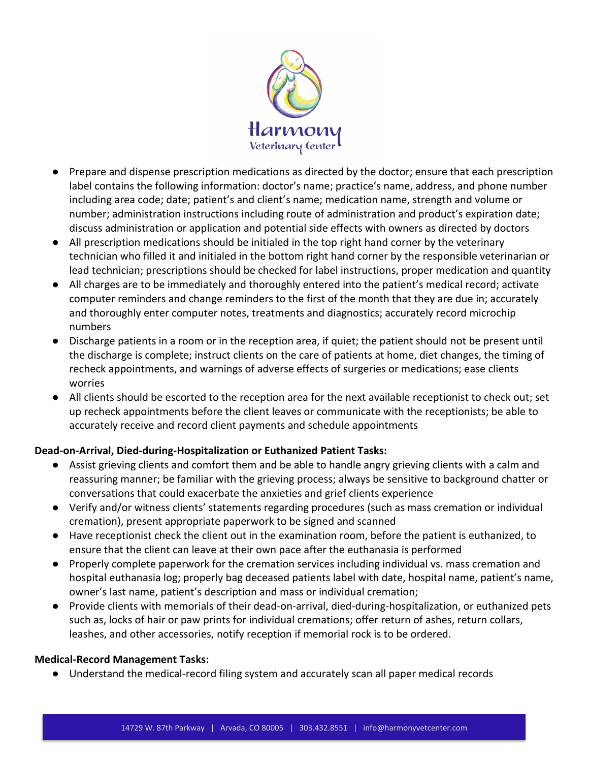

- Prepare and dispense prescription medications as directed by the doctor; ensure that each prescription label contains the following information: doctor's name; practice's name, address, and phone number including area code; date; patient's and client's name; medication name, strength and volume or number; administration instructions including route of administration and product's expiration date; discuss administration or application and potential side effects with owners as directed by doctors
- All prescription medications should be initialed in the top right hand corner by the veterinary technician who filled it and initialed in the bottom right hand corner by the responsible veterinarian or lead technician; prescriptions should be checked for label instructions, proper medication and quantity
- All charges are to be immediately and thoroughly entered into the patient's medical record; activate computer reminders and change reminders to the first of the month that they are due in; accurately and thoroughly enter computer notes, treatments and diagnostics; accurately record microchip numbers
- Discharge patients in a room or in the reception area, if quiet; the patient should not be present until the discharge is complete; instruct clients on the care of patients at home, diet changes, the timing of recheck appointments, and warnings of adverse effects of surgeries or medications; ease clients worries
- All clients should be escorted to the reception area for the next available receptionist to check out; set up recheck appointments before the client leaves or communicate with the receptionists; be able to accurately receive and record client payments and schedule appointments

# **Dead-on-Arrival, Died-during-Hospitalization or Euthanized Patient Tasks:**

- Assist grieving clients and comfort them and be able to handle angry grieving clients with a calm and reassuring manner; be familiar with the grieving process; always be sensitive to background chatter or conversations that could exacerbate the anxieties and grief clients experience
- Verify and/or witness clients' statements regarding procedures (such as mass cremation or individual cremation), present appropriate paperwork to be signed and scanned
- Have receptionist check the client out in the examination room, before the patient is euthanized, to ensure that the client can leave at their own pace after the euthanasia is performed
- Properly complete paperwork for the cremation services including individual vs. mass cremation and hospital euthanasia log; properly bag deceased patients label with date, hospital name, patient's name, owner's last name, patient's description and mass or individual cremation;
- Provide clients with memorials of their dead-on-arrival, died-during-hospitalization, or euthanized pets such as, locks of hair or paw prints for individual cremations; offer return of ashes, return collars, leashes, and other accessories, notify reception if memorial rock is to be ordered.

### **Medical-Record Management Tasks:**

● Understand the medical-record filing system and accurately scan all paper medical records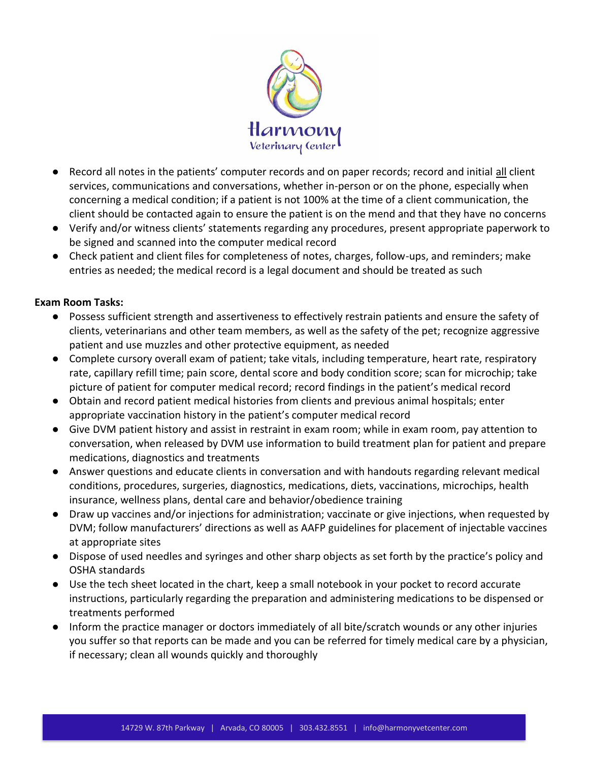

- Record all notes in the patients' computer records and on paper records; record and initial all client services, communications and conversations, whether in-person or on the phone, especially when concerning a medical condition; if a patient is not 100% at the time of a client communication, the client should be contacted again to ensure the patient is on the mend and that they have no concerns
- Verify and/or witness clients' statements regarding any procedures, present appropriate paperwork to be signed and scanned into the computer medical record
- Check patient and client files for completeness of notes, charges, follow-ups, and reminders; make entries as needed; the medical record is a legal document and should be treated as such

### **Exam Room Tasks:**

- Possess sufficient strength and assertiveness to effectively restrain patients and ensure the safety of clients, veterinarians and other team members, as well as the safety of the pet; recognize aggressive patient and use muzzles and other protective equipment, as needed
- Complete cursory overall exam of patient; take vitals, including temperature, heart rate, respiratory rate, capillary refill time; pain score, dental score and body condition score; scan for microchip; take picture of patient for computer medical record; record findings in the patient's medical record
- Obtain and record patient medical histories from clients and previous animal hospitals; enter appropriate vaccination history in the patient's computer medical record
- Give DVM patient history and assist in restraint in exam room; while in exam room, pay attention to conversation, when released by DVM use information to build treatment plan for patient and prepare medications, diagnostics and treatments
- Answer questions and educate clients in conversation and with handouts regarding relevant medical conditions, procedures, surgeries, diagnostics, medications, diets, vaccinations, microchips, health insurance, wellness plans, dental care and behavior/obedience training
- Draw up vaccines and/or injections for administration; vaccinate or give injections, when requested by DVM; follow manufacturers' directions as well as AAFP guidelines for placement of injectable vaccines at appropriate sites
- Dispose of used needles and syringes and other sharp objects as set forth by the practice's policy and OSHA standards
- Use the tech sheet located in the chart, keep a small notebook in your pocket to record accurate instructions, particularly regarding the preparation and administering medications to be dispensed or treatments performed
- Inform the practice manager or doctors immediately of all bite/scratch wounds or any other injuries you suffer so that reports can be made and you can be referred for timely medical care by a physician, if necessary; clean all wounds quickly and thoroughly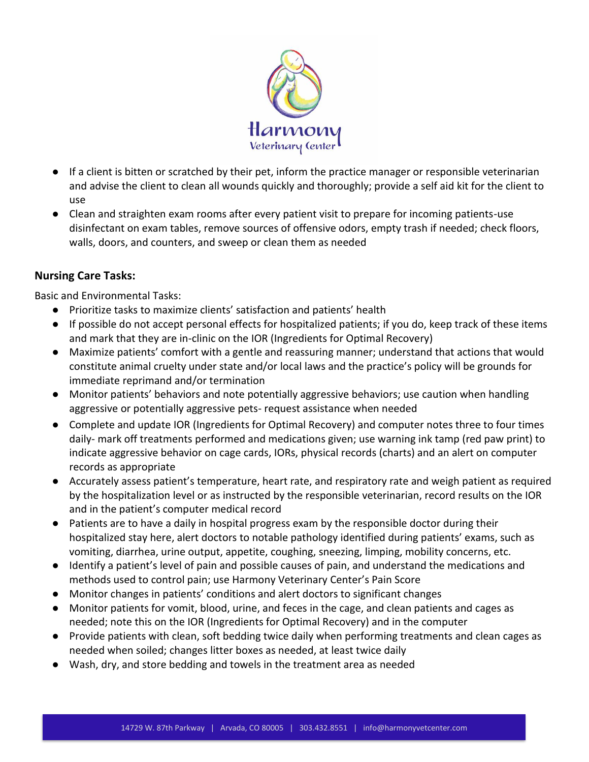

- If a client is bitten or scratched by their pet, inform the practice manager or responsible veterinarian and advise the client to clean all wounds quickly and thoroughly; provide a self aid kit for the client to use
- Clean and straighten exam rooms after every patient visit to prepare for incoming patients-use disinfectant on exam tables, remove sources of offensive odors, empty trash if needed; check floors, walls, doors, and counters, and sweep or clean them as needed

### **Nursing Care Tasks:**

Basic and Environmental Tasks:

- Prioritize tasks to maximize clients' satisfaction and patients' health
- If possible do not accept personal effects for hospitalized patients; if you do, keep track of these items and mark that they are in-clinic on the IOR (Ingredients for Optimal Recovery)
- Maximize patients' comfort with a gentle and reassuring manner; understand that actions that would constitute animal cruelty under state and/or local laws and the practice's policy will be grounds for immediate reprimand and/or termination
- Monitor patients' behaviors and note potentially aggressive behaviors; use caution when handling aggressive or potentially aggressive pets- request assistance when needed
- Complete and update IOR (Ingredients for Optimal Recovery) and computer notes three to four times daily- mark off treatments performed and medications given; use warning ink tamp (red paw print) to indicate aggressive behavior on cage cards, IORs, physical records (charts) and an alert on computer records as appropriate
- Accurately assess patient's temperature, heart rate, and respiratory rate and weigh patient as required by the hospitalization level or as instructed by the responsible veterinarian, record results on the IOR and in the patient's computer medical record
- Patients are to have a daily in hospital progress exam by the responsible doctor during their hospitalized stay here, alert doctors to notable pathology identified during patients' exams, such as vomiting, diarrhea, urine output, appetite, coughing, sneezing, limping, mobility concerns, etc.
- Identify a patient's level of pain and possible causes of pain, and understand the medications and methods used to control pain; use Harmony Veterinary Center's Pain Score
- Monitor changes in patients' conditions and alert doctors to significant changes
- Monitor patients for vomit, blood, urine, and feces in the cage, and clean patients and cages as needed; note this on the IOR (Ingredients for Optimal Recovery) and in the computer
- Provide patients with clean, soft bedding twice daily when performing treatments and clean cages as needed when soiled; changes litter boxes as needed, at least twice daily
- Wash, dry, and store bedding and towels in the treatment area as needed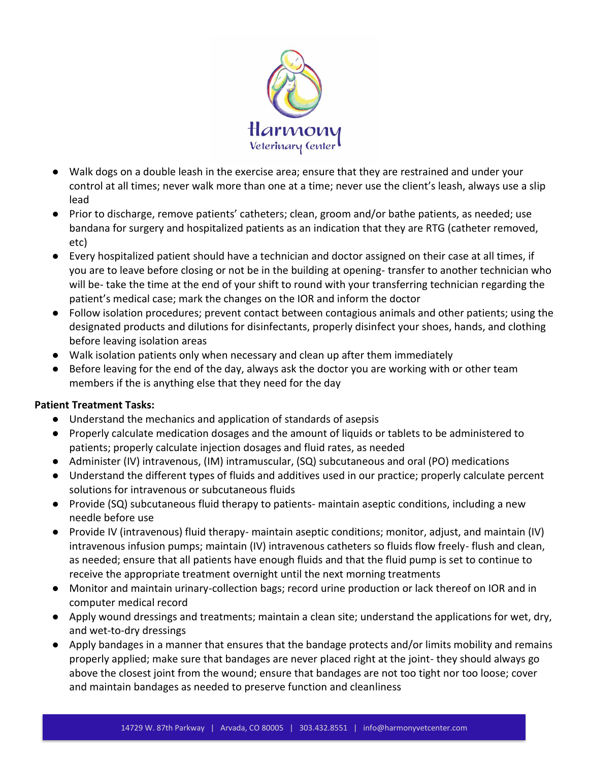

- Walk dogs on a double leash in the exercise area; ensure that they are restrained and under your control at all times; never walk more than one at a time; never use the client's leash, always use a slip lead
- Prior to discharge, remove patients' catheters; clean, groom and/or bathe patients, as needed; use bandana for surgery and hospitalized patients as an indication that they are RTG (catheter removed, etc)
- Every hospitalized patient should have a technician and doctor assigned on their case at all times, if you are to leave before closing or not be in the building at opening- transfer to another technician who will be- take the time at the end of your shift to round with your transferring technician regarding the patient's medical case; mark the changes on the IOR and inform the doctor
- Follow isolation procedures; prevent contact between contagious animals and other patients; using the designated products and dilutions for disinfectants, properly disinfect your shoes, hands, and clothing before leaving isolation areas
- Walk isolation patients only when necessary and clean up after them immediately
- Before leaving for the end of the day, always ask the doctor you are working with or other team members if the is anything else that they need for the day

### **Patient Treatment Tasks:**

- Understand the mechanics and application of standards of asepsis
- Properly calculate medication dosages and the amount of liquids or tablets to be administered to patients; properly calculate injection dosages and fluid rates, as needed
- Administer (IV) intravenous, (IM) intramuscular, (SQ) subcutaneous and oral (PO) medications
- Understand the different types of fluids and additives used in our practice; properly calculate percent solutions for intravenous or subcutaneous fluids
- Provide (SQ) subcutaneous fluid therapy to patients- maintain aseptic conditions, including a new needle before use
- Provide IV (intravenous) fluid therapy- maintain aseptic conditions; monitor, adjust, and maintain (IV) intravenous infusion pumps; maintain (IV) intravenous catheters so fluids flow freely- flush and clean, as needed; ensure that all patients have enough fluids and that the fluid pump is set to continue to receive the appropriate treatment overnight until the next morning treatments
- Monitor and maintain urinary-collection bags; record urine production or lack thereof on IOR and in computer medical record
- Apply wound dressings and treatments; maintain a clean site; understand the applications for wet, dry, and wet-to-dry dressings
- Apply bandages in a manner that ensures that the bandage protects and/or limits mobility and remains properly applied; make sure that bandages are never placed right at the joint- they should always go above the closest joint from the wound; ensure that bandages are not too tight nor too loose; cover and maintain bandages as needed to preserve function and cleanliness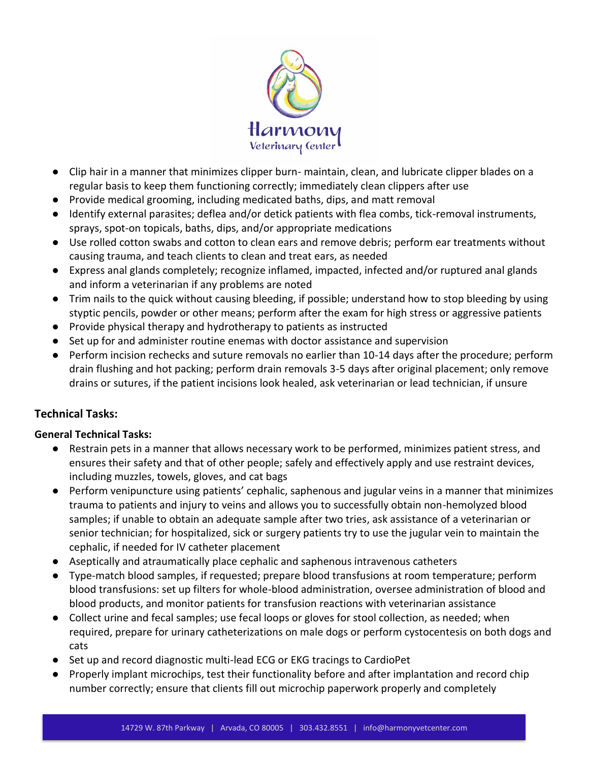

- Clip hair in a manner that minimizes clipper burn- maintain, clean, and lubricate clipper blades on a regular basis to keep them functioning correctly; immediately clean clippers after use
- Provide medical grooming, including medicated baths, dips, and matt removal
- Identify external parasites; deflea and/or detick patients with flea combs, tick-removal instruments, sprays, spot-on topicals, baths, dips, and/or appropriate medications
- Use rolled cotton swabs and cotton to clean ears and remove debris; perform ear treatments without causing trauma, and teach clients to clean and treat ears, as needed
- Express anal glands completely; recognize inflamed, impacted, infected and/or ruptured anal glands and inform a veterinarian if any problems are noted
- Trim nails to the quick without causing bleeding, if possible; understand how to stop bleeding by using styptic pencils, powder or other means; perform after the exam for high stress or aggressive patients
- Provide physical therapy and hydrotherapy to patients as instructed
- Set up for and administer routine enemas with doctor assistance and supervision
- Perform incision rechecks and suture removals no earlier than 10-14 days after the procedure; perform drain flushing and hot packing; perform drain removals 3-5 days after original placement; only remove drains or sutures, if the patient incisions look healed, ask veterinarian or lead technician, if unsure

# **Technical Tasks:**

# **General Technical Tasks:**

- Restrain pets in a manner that allows necessary work to be performed, minimizes patient stress, and ensures their safety and that of other people; safely and effectively apply and use restraint devices, including muzzles, towels, gloves, and cat bags
- Perform venipuncture using patients' cephalic, saphenous and jugular veins in a manner that minimizes trauma to patients and injury to veins and allows you to successfully obtain non-hemolyzed blood samples; if unable to obtain an adequate sample after two tries, ask assistance of a veterinarian or senior technician; for hospitalized, sick or surgery patients try to use the jugular vein to maintain the cephalic, if needed for IV catheter placement
- Aseptically and atraumatically place cephalic and saphenous intravenous catheters
- Type-match blood samples, if requested; prepare blood transfusions at room temperature; perform blood transfusions: set up filters for whole-blood administration, oversee administration of blood and blood products, and monitor patients for transfusion reactions with veterinarian assistance
- Collect urine and fecal samples; use fecal loops or gloves for stool collection, as needed; when required, prepare for urinary catheterizations on male dogs or perform cystocentesis on both dogs and cats
- Set up and record diagnostic multi-lead ECG or EKG tracings to CardioPet
- Properly implant microchips, test their functionality before and after implantation and record chip number correctly; ensure that clients fill out microchip paperwork properly and completely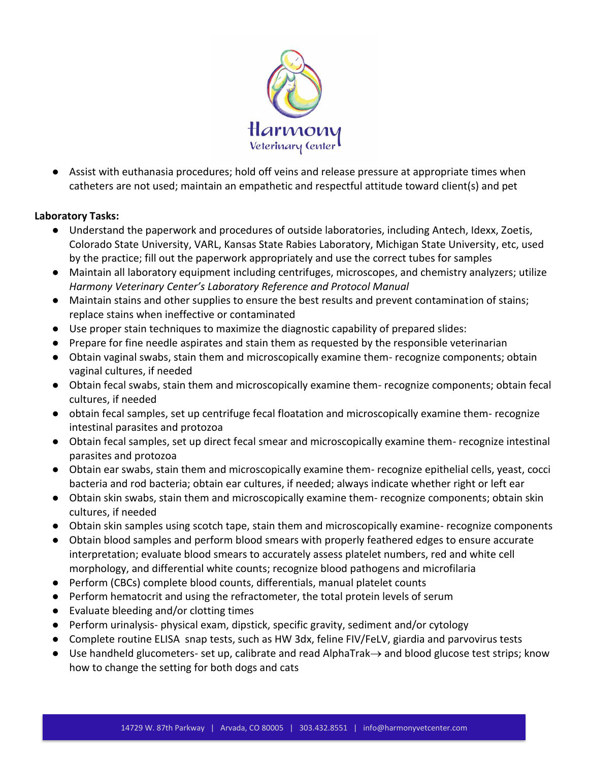

● Assist with euthanasia procedures; hold off veins and release pressure at appropriate times when catheters are not used; maintain an empathetic and respectful attitude toward client(s) and pet

### **Laboratory Tasks:**

- Understand the paperwork and procedures of outside laboratories, including Antech, Idexx, Zoetis, Colorado State University, VARL, Kansas State Rabies Laboratory, Michigan State University, etc, used by the practice; fill out the paperwork appropriately and use the correct tubes for samples
- Maintain all laboratory equipment including centrifuges, microscopes, and chemistry analyzers; utilize *Harmony Veterinary Center's Laboratory Reference and Protocol Manual*
- Maintain stains and other supplies to ensure the best results and prevent contamination of stains; replace stains when ineffective or contaminated
- Use proper stain techniques to maximize the diagnostic capability of prepared slides:
- Prepare for fine needle aspirates and stain them as requested by the responsible veterinarian
- Obtain vaginal swabs, stain them and microscopically examine them- recognize components; obtain vaginal cultures, if needed
- Obtain fecal swabs, stain them and microscopically examine them- recognize components; obtain fecal cultures, if needed
- obtain fecal samples, set up centrifuge fecal floatation and microscopically examine them- recognize intestinal parasites and protozoa
- Obtain fecal samples, set up direct fecal smear and microscopically examine them- recognize intestinal parasites and protozoa
- Obtain ear swabs, stain them and microscopically examine them- recognize epithelial cells, yeast, cocci bacteria and rod bacteria; obtain ear cultures, if needed; always indicate whether right or left ear
- Obtain skin swabs, stain them and microscopically examine them- recognize components; obtain skin cultures, if needed
- Obtain skin samples using scotch tape, stain them and microscopically examine- recognize components
- Obtain blood samples and perform blood smears with properly feathered edges to ensure accurate interpretation; evaluate blood smears to accurately assess platelet numbers, red and white cell morphology, and differential white counts; recognize blood pathogens and microfilaria
- Perform (CBCs) complete blood counts, differentials, manual platelet counts
- Perform hematocrit and using the refractometer, the total protein levels of serum
- Evaluate bleeding and/or clotting times
- Perform urinalysis- physical exam, dipstick, specific gravity, sediment and/or cytology
- Complete routine ELISA snap tests, such as HW 3dx, feline FIV/FeLV, giardia and parvovirus tests
- Use handheld glucometers- set up, calibrate and read AlphaTrak→ and blood glucose test strips; know how to change the setting for both dogs and cats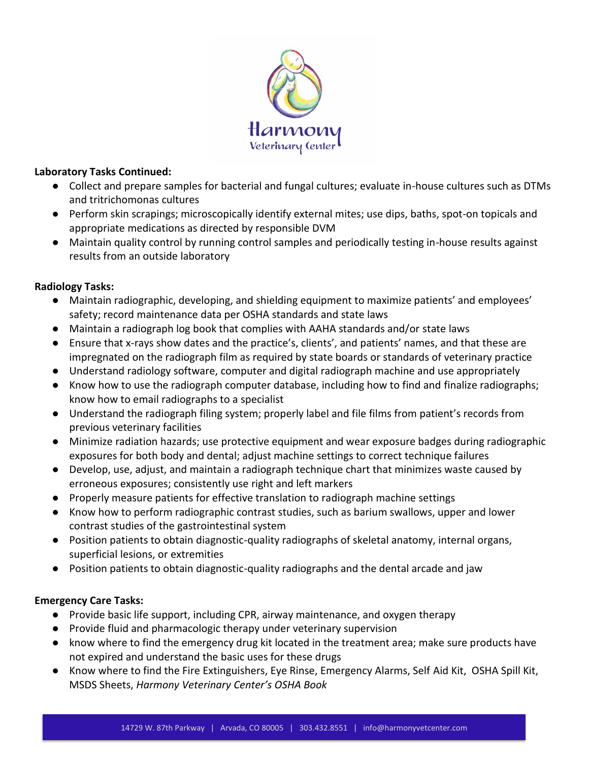

#### **Laboratory Tasks Continued:**

- Collect and prepare samples for bacterial and fungal cultures; evaluate in-house cultures such as DTMs and tritrichomonas cultures
- Perform skin scrapings; microscopically identify external mites; use dips, baths, spot-on topicals and appropriate medications as directed by responsible DVM
- Maintain quality control by running control samples and periodically testing in-house results against results from an outside laboratory

### **Radiology Tasks:**

- Maintain radiographic, developing, and shielding equipment to maximize patients' and employees' safety; record maintenance data per OSHA standards and state laws
- Maintain a radiograph log book that complies with AAHA standards and/or state laws
- Ensure that x-rays show dates and the practice's, clients', and patients' names, and that these are impregnated on the radiograph film as required by state boards or standards of veterinary practice
- Understand radiology software, computer and digital radiograph machine and use appropriately
- Know how to use the radiograph computer database, including how to find and finalize radiographs; know how to email radiographs to a specialist
- Understand the radiograph filing system; properly label and file films from patient's records from previous veterinary facilities
- Minimize radiation hazards; use protective equipment and wear exposure badges during radiographic exposures for both body and dental; adjust machine settings to correct technique failures
- Develop, use, adjust, and maintain a radiograph technique chart that minimizes waste caused by erroneous exposures; consistently use right and left markers
- Properly measure patients for effective translation to radiograph machine settings
- Know how to perform radiographic contrast studies, such as barium swallows, upper and lower contrast studies of the gastrointestinal system
- Position patients to obtain diagnostic-quality radiographs of skeletal anatomy, internal organs, superficial lesions, or extremities
- Position patients to obtain diagnostic-quality radiographs and the dental arcade and jaw

### **Emergency Care Tasks:**

- Provide basic life support, including CPR, airway maintenance, and oxygen therapy
- Provide fluid and pharmacologic therapy under veterinary supervision
- know where to find the emergency drug kit located in the treatment area; make sure products have not expired and understand the basic uses for these drugs
- Know where to find the Fire Extinguishers, Eye Rinse, Emergency Alarms, Self Aid Kit, OSHA Spill Kit, MSDS Sheets, *Harmony Veterinary Center's OSHA Book*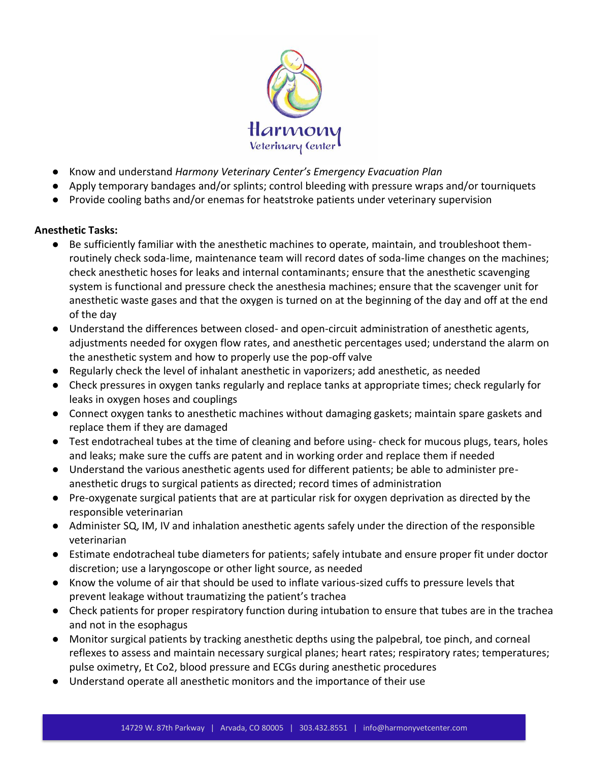

- Know and understand *Harmony Veterinary Center's Emergency Evacuation Plan*
- Apply temporary bandages and/or splints; control bleeding with pressure wraps and/or tourniquets
- Provide cooling baths and/or enemas for heatstroke patients under veterinary supervision

### **Anesthetic Tasks:**

- Be sufficiently familiar with the anesthetic machines to operate, maintain, and troubleshoot themroutinely check soda-lime, maintenance team will record dates of soda-lime changes on the machines; check anesthetic hoses for leaks and internal contaminants; ensure that the anesthetic scavenging system is functional and pressure check the anesthesia machines; ensure that the scavenger unit for anesthetic waste gases and that the oxygen is turned on at the beginning of the day and off at the end of the day
- Understand the differences between closed- and open-circuit administration of anesthetic agents, adjustments needed for oxygen flow rates, and anesthetic percentages used; understand the alarm on the anesthetic system and how to properly use the pop-off valve
- Regularly check the level of inhalant anesthetic in vaporizers; add anesthetic, as needed
- Check pressures in oxygen tanks regularly and replace tanks at appropriate times; check regularly for leaks in oxygen hoses and couplings
- Connect oxygen tanks to anesthetic machines without damaging gaskets; maintain spare gaskets and replace them if they are damaged
- Test endotracheal tubes at the time of cleaning and before using-check for mucous plugs, tears, holes and leaks; make sure the cuffs are patent and in working order and replace them if needed
- Understand the various anesthetic agents used for different patients; be able to administer preanesthetic drugs to surgical patients as directed; record times of administration
- Pre-oxygenate surgical patients that are at particular risk for oxygen deprivation as directed by the responsible veterinarian
- Administer SQ, IM, IV and inhalation anesthetic agents safely under the direction of the responsible veterinarian
- Estimate endotracheal tube diameters for patients; safely intubate and ensure proper fit under doctor discretion; use a laryngoscope or other light source, as needed
- Know the volume of air that should be used to inflate various-sized cuffs to pressure levels that prevent leakage without traumatizing the patient's trachea
- Check patients for proper respiratory function during intubation to ensure that tubes are in the trachea and not in the esophagus
- Monitor surgical patients by tracking anesthetic depths using the palpebral, toe pinch, and corneal reflexes to assess and maintain necessary surgical planes; heart rates; respiratory rates; temperatures; pulse oximetry, Et Co2, blood pressure and ECGs during anesthetic procedures
- Understand operate all anesthetic monitors and the importance of their use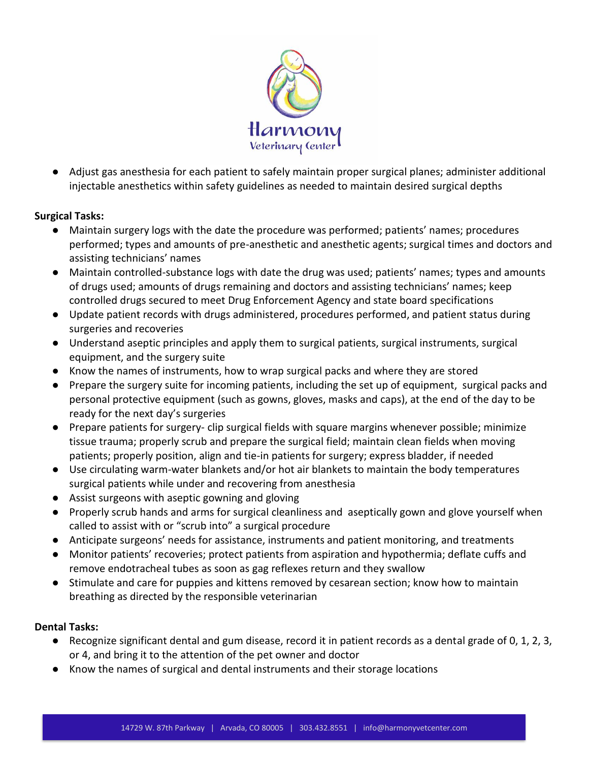

● Adjust gas anesthesia for each patient to safely maintain proper surgical planes; administer additional injectable anesthetics within safety guidelines as needed to maintain desired surgical depths

### **Surgical Tasks:**

- Maintain surgery logs with the date the procedure was performed; patients' names; procedures performed; types and amounts of pre-anesthetic and anesthetic agents; surgical times and doctors and assisting technicians' names
- Maintain controlled-substance logs with date the drug was used; patients' names; types and amounts of drugs used; amounts of drugs remaining and doctors and assisting technicians' names; keep controlled drugs secured to meet Drug Enforcement Agency and state board specifications
- Update patient records with drugs administered, procedures performed, and patient status during surgeries and recoveries
- Understand aseptic principles and apply them to surgical patients, surgical instruments, surgical equipment, and the surgery suite
- Know the names of instruments, how to wrap surgical packs and where they are stored
- Prepare the surgery suite for incoming patients, including the set up of equipment, surgical packs and personal protective equipment (such as gowns, gloves, masks and caps), at the end of the day to be ready for the next day's surgeries
- Prepare patients for surgery- clip surgical fields with square margins whenever possible; minimize tissue trauma; properly scrub and prepare the surgical field; maintain clean fields when moving patients; properly position, align and tie-in patients for surgery; express bladder, if needed
- Use circulating warm-water blankets and/or hot air blankets to maintain the body temperatures surgical patients while under and recovering from anesthesia
- Assist surgeons with aseptic gowning and gloving
- Properly scrub hands and arms for surgical cleanliness and aseptically gown and glove yourself when called to assist with or "scrub into" a surgical procedure
- Anticipate surgeons' needs for assistance, instruments and patient monitoring, and treatments
- Monitor patients' recoveries; protect patients from aspiration and hypothermia; deflate cuffs and remove endotracheal tubes as soon as gag reflexes return and they swallow
- Stimulate and care for puppies and kittens removed by cesarean section; know how to maintain breathing as directed by the responsible veterinarian

### **Dental Tasks:**

- Recognize significant dental and gum disease, record it in patient records as a dental grade of 0, 1, 2, 3, or 4, and bring it to the attention of the pet owner and doctor
- Know the names of surgical and dental instruments and their storage locations